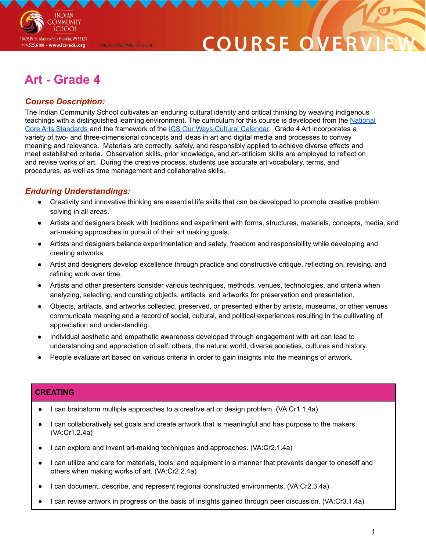

# COURSE O

# **Art - Grade 4**

@2020 INDIAN COMMUNITY SCHOOL

# *Course Description:*

The Indian Community School cultivates an enduring cultural identity and critical thinking by weaving indigenous teachings with a distinguished learning environment. The curriculum for this course is developed from the [National](https://nationalartsstandards.org/sites/default/files/Visual%20Arts%20at%20a%20Glance%20-%20new%20copyright%20info.pdf) Core Arts [Standards](https://nationalartsstandards.org/sites/default/files/Visual%20Arts%20at%20a%20Glance%20-%20new%20copyright%20info.pdf) and the framework of the ICS Our Ways Cultural [Calendar.](https://drive.google.com/open?id=0B7pONXiRIufTT3VHOXBBeG9USHMzbDNIUi1nV0NTbURCMFRZ) Grade 4 Art incorporates a variety of two- and three-dimensional concepts and ideas in art and digital media and processes to convey meaning and relevance. Materials are correctly, safely, and responsibly applied to achieve diverse effects and meet established criteria. Observation skills, prior knowledge, and art-criticism skills are employed to reflect on and revise works of art. During the creative process, students use accurate art vocabulary, terms, and procedures, as well as time management and collaborative skills.

## *Enduring Understandings:*

- Creativity and innovative thinking are essential life skills that can be developed to promote creative problem solving in all areas.
- Artists and designers break with traditions and experiment with forms, structures, materials, concepts, media, and art-making approaches in pursuit of their art making goals.
- Artists and designers balance experimentation and safety, freedom and responsibility while developing and creating artworks.
- Artist and designers develop excellence through practice and constructive critique, reflecting on, revising, and refining work over time.
- Artists and other presenters consider various techniques, methods, venues, technologies, and criteria when analyzing, selecting, and curating objects, artifacts, and artworks for preservation and presentation.
- Objects, artifacts, and artworks collected, preserved, or presented either by artists, museums, or other venues communicate meaning and a record of social, cultural, and political experiences resulting in the cultivating of appreciation and understanding.
- Individual aesthetic and empathetic awareness developed through engagement with art can lead to understanding and appreciation of self, others, the natural world, diverse societies, cultures and history.
- People evaluate art based on various criteria in order to gain insights into the meanings of artwork.

### **CREATING**

- I can brainstorm multiple approaches to a creative art or design problem. (VA:Cr1.1.4a)
- I can collaboratively set goals and create artwork that is meaningful and has purpose to the makers. (VA:Cr1.2.4a)
- I can explore and invent art-making techniques and approaches. (VA:Cr2.1.4a)
- I can utilize and care for materials, tools, and equipment in a manner that prevents danger to oneself and others when making works of art. (VA:Cr2.2.4a)
- I can document, describe, and represent regional constructed environments. (VA:Cr2.3.4a)
- I can revise artwork in progress on the basis of insights gained through peer discussion. (VA:Cr3.1.4a)